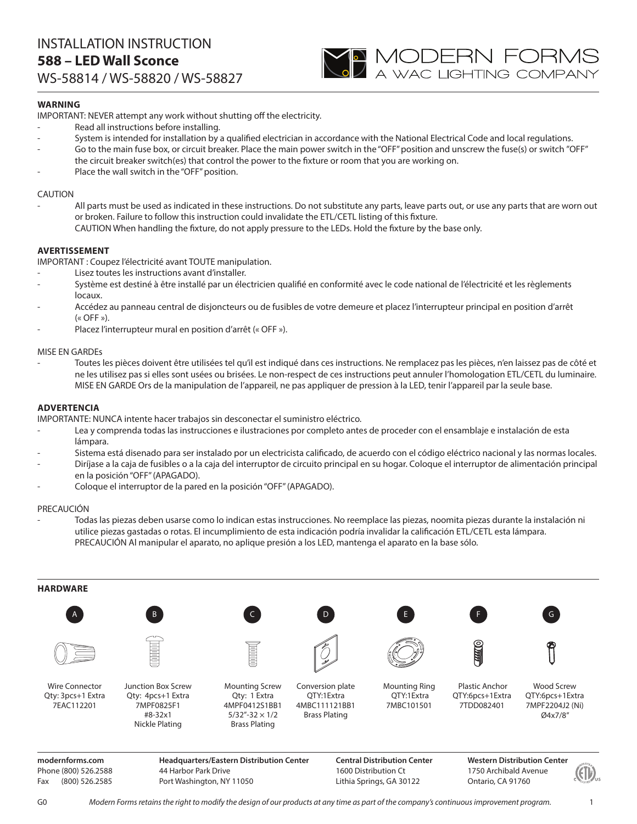

# **WARNING**

IMPORTANT: NEVER attempt any work without shutting off the electricity.

- Read all instructions before installing.
- System is intended for installation by a qualified electrician in accordance with the National Electrical Code and local regulations.
- Go to the main fuse box, or circuit breaker. Place the main power switch in the "OFF" position and unscrew the fuse(s) or switch "OFF" the circuit breaker switch(es) that control the power to the fixture or room that you are working on.
- Place the wall switch in the "OFF" position.

#### CAUTION

All parts must be used as indicated in these instructions. Do not substitute any parts, leave parts out, or use any parts that are worn out or broken. Failure to follow this instruction could invalidate the ETL/CETL listing of this fixture. CAUTION When handling the fixture, do not apply pressure to the LEDs. Hold the fixture by the base only.

### **AVERTISSEMENT**

IMPORTANT : Coupez l'électricité avant TOUTE manipulation.

- Lisez toutes les instructions avant d'installer.
- Système est destiné à être installé par un électricien qualifié en conformité avec le code national de l'électricité et les règlements locaux.
- Accédez au panneau central de disjoncteurs ou de fusibles de votre demeure et placez l'interrupteur principal en position d'arrêt  $(\kappa$  OFF »).
- Placez l'interrupteur mural en position d'arrêt (« OFF »).

#### MISE EN GARDEs

- Toutes les pièces doivent être utilisées tel qu'il est indiqué dans ces instructions. Ne remplacez pas les pièces, n'en laissez pas de côté et ne les utilisez pas si elles sont usées ou brisées. Le non-respect de ces instructions peut annuler l'homologation ETL/CETL du luminaire. MISE EN GARDE Ors de la manipulation de l'appareil, ne pas appliquer de pression à la LED, tenir l'appareil par la seule base.

### **ADVERTENCIA**

IMPORTANTE: NUNCA intente hacer trabajos sin desconectar el suministro eléctrico.

- Lea y comprenda todas las instrucciones e ilustraciones por completo antes de proceder con el ensamblaje e instalación de esta lámpara.
- Sistema está disenado para ser instalado por un electricista calificado, de acuerdo con el código eléctrico nacional y las normas locales.
- Diríjase a la caja de fusibles o a la caja del interruptor de circuito principal en su hogar. Coloque el interruptor de alimentación principal en la posición "OFF" (APAGADO).
- Coloque el interruptor de la pared en la posición "OFF" (APAGADO).

#### PRECAUCIÓN

- Todas las piezas deben usarse como lo indican estas instrucciones. No reemplace las piezas, noomita piezas durante la instalación ni utilice piezas gastadas o rotas. El incumplimiento de esta indicación podría invalidar la calificación ETL/CETL esta lámpara. PRECAUCIÓN Al manipular el aparato, no aplique presión a los LED, mantenga el aparato en la base sólo.